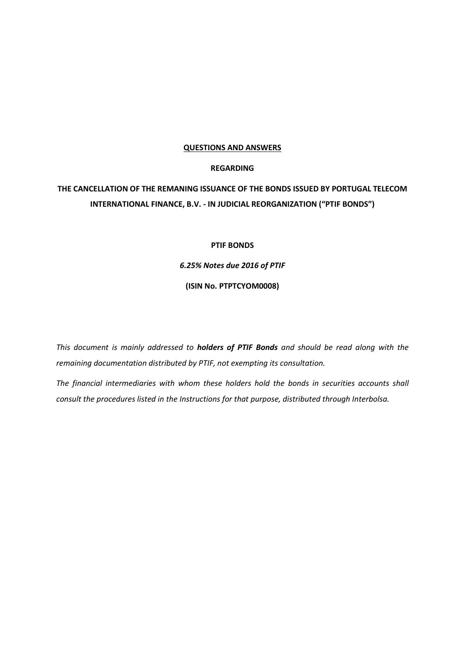#### **QUESTIONS AND ANSWERS**

# **REGARDING**

# **THE CANCELLATION OF THE REMANING ISSUANCE OF THE BONDS ISSUED BY PORTUGAL TELECOM INTERNATIONAL FINANCE, B.V. - IN JUDICIAL REORGANIZATION ("PTIF BONDS")**

## **PTIF BONDS**

*6.25% Notes due 2016 of PTIF*

**(ISIN No. PTPTCYOM0008)**

*This document is mainly addressed to holders of PTIF Bonds and should be read along with the remaining documentation distributed by PTIF, not exempting its consultation.*

*The financial intermediaries with whom these holders hold the bonds in securities accounts shall consult the procedures listed in the Instructions for that purpose, distributed through Interbolsa.*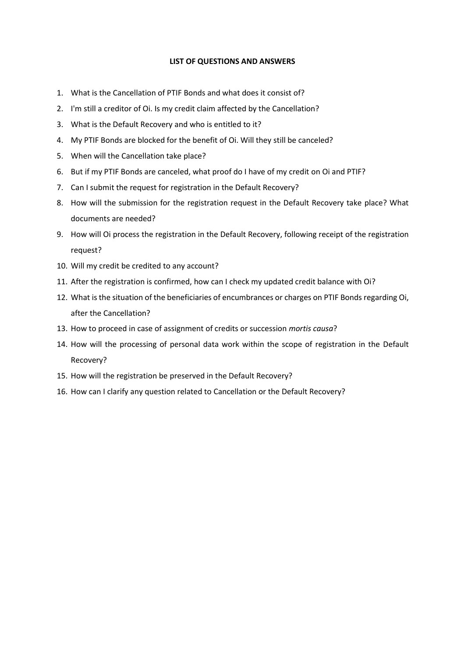## **LIST OF QUESTIONS AND ANSWERS**

- 1. What is the Cancellation of PTIF Bonds and what does it consist of?
- 2. I'm still a creditor of Oi. Is my credit claim affected by the Cancellation?
- 3. What is the Default Recovery and who is entitled to it?
- 4. My PTIF Bonds are blocked for the benefit of Oi. Will they still be canceled?
- 5. When will the Cancellation take place?
- 6. But if my PTIF Bonds are canceled, what proof do I have of my credit on Oi and PTIF?
- 7. Can I submit the request for registration in the Default Recovery?
- 8. How will the submission for the registration request in the Default Recovery take place? What documents are needed?
- 9. How will Oi process the registration in the Default Recovery, following receipt of the registration request?
- 10. Will my credit be credited to any account?
- 11. After the registration is confirmed, how can I check my updated credit balance with Oi?
- 12. What is the situation of the beneficiaries of encumbrances or charges on PTIF Bonds regarding Oi, after the Cancellation?
- 13. How to proceed in case of assignment of credits or succession *mortis causa*?
- 14. How will the processing of personal data work within the scope of registration in the Default Recovery?
- 15. How will the registration be preserved in the Default Recovery?
- 16. How can I clarify any question related to Cancellation or the Default Recovery?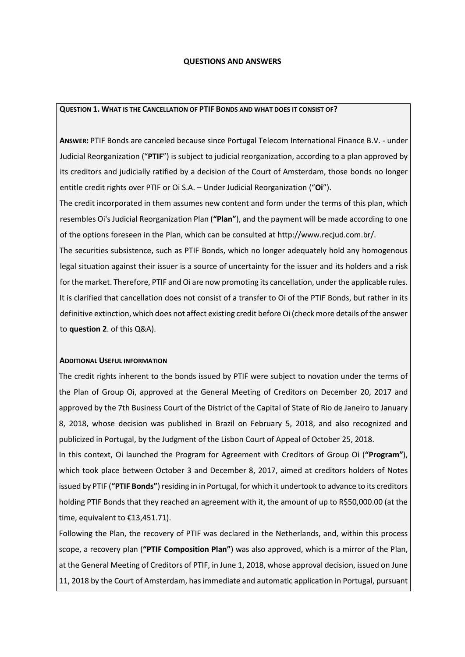#### **QUESTIONS AND ANSWERS**

#### **QUESTION 1. WHAT IS THE CANCELLATION OF PTIF BONDS AND WHAT DOES IT CONSIST OF?**

**ANSWER:** PTIF Bonds are canceled because since Portugal Telecom International Finance B.V. - under Judicial Reorganization ("**PTIF**") is subject to judicial reorganization, according to a plan approved by its creditors and judicially ratified by a decision of the Court of Amsterdam, those bonds no longer entitle credit rights over PTIF or Oi S.A. – Under Judicial Reorganization ("**Oi**").

The credit incorporated in them assumes new content and form under the terms of this plan, which resembles Oi's Judicial Reorganization Plan (**"Plan"**), and the payment will be made according to one of the options foreseen in the Plan, which can be consulted at http://www.recjud.com.br/.

The securities subsistence, such as PTIF Bonds, which no longer adequately hold any homogenous legal situation against their issuer is a source of uncertainty for the issuer and its holders and a risk for the market. Therefore, PTIF and Oi are now promoting its cancellation, under the applicable rules. It is clarified that cancellation does not consist of a transfer to Oi of the PTIF Bonds, but rather in its definitive extinction, which does not affect existing credit before Oi (check more details of the answer to **question 2**. of this Q&A).

#### **ADDITIONAL USEFUL INFORMATION**

The credit rights inherent to the bonds issued by PTIF were subject to novation under the terms of the Plan of Group Oi, approved at the General Meeting of Creditors on December 20, 2017 and approved by the 7th Business Court of the District of the Capital of State of Rio de Janeiro to January 8, 2018, whose decision was published in Brazil on February 5, 2018, and also recognized and publicized in Portugal, by the Judgment of the Lisbon Court of Appeal of October 25, 2018.

In this context, Oi launched the Program for Agreement with Creditors of Group Oi (**"Program"**), which took place between October 3 and December 8, 2017, aimed at creditors holders of Notes issued by PTIF (**"PTIF Bonds"**) residing in in Portugal, for which it undertook to advance to its creditors holding PTIF Bonds that they reached an agreement with it, the amount of up to R\$50,000.00 (at the time, equivalent to €13,451.71).

Following the Plan, the recovery of PTIF was declared in the Netherlands, and, within this process scope, a recovery plan (**"PTIF Composition Plan"**) was also approved, which is a mirror of the Plan, at the General Meeting of Creditors of PTIF, in June 1, 2018, whose approval decision, issued on June 11, 2018 by the Court of Amsterdam, has immediate and automatic application in Portugal, pursuant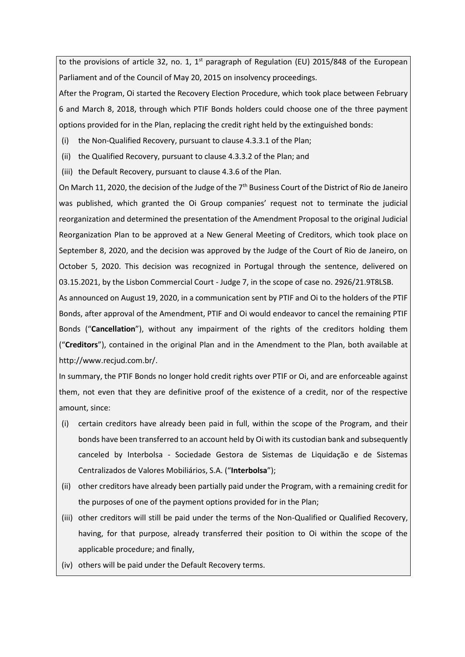to the provisions of article 32, no. 1, 1<sup>st</sup> paragraph of Regulation (EU) 2015/848 of the European Parliament and of the Council of May 20, 2015 on insolvency proceedings.

After the Program, Oi started the Recovery Election Procedure, which took place between February 6 and March 8, 2018, through which PTIF Bonds holders could choose one of the three payment options provided for in the Plan, replacing the credit right held by the extinguished bonds:

(i) the Non-Qualified Recovery, pursuant to clause 4.3.3.1 of the Plan;

(ii) the Qualified Recovery, pursuant to clause 4.3.3.2 of the Plan; and

(iii) the Default Recovery, pursuant to clause 4.3.6 of the Plan.

On March 11, 2020, the decision of the Judge of the  $7<sup>th</sup>$  Business Court of the District of Rio de Janeiro was published, which granted the Oi Group companies' request not to terminate the judicial reorganization and determined the presentation of the Amendment Proposal to the original Judicial Reorganization Plan to be approved at a New General Meeting of Creditors, which took place on September 8, 2020, and the decision was approved by the Judge of the Court of Rio de Janeiro, on October 5, 2020. This decision was recognized in Portugal through the sentence, delivered on 03.15.2021, by the Lisbon Commercial Court - Judge 7, in the scope of case no. 2926/21.9T8LSB.

As announced on August 19, 2020, in a communication sent by PTIF and Oi to the holders of the PTIF Bonds, after approval of the Amendment, PTIF and Oi would endeavor to cancel the remaining PTIF Bonds ("**Cancellation**"), without any impairment of the rights of the creditors holding them ("**Creditors**"), contained in the original Plan and in the Amendment to the Plan, both available at http://www.recjud.com.br/.

In summary, the PTIF Bonds no longer hold credit rights over PTIF or Oi, and are enforceable against them, not even that they are definitive proof of the existence of a credit, nor of the respective amount, since:

- (i) certain creditors have already been paid in full, within the scope of the Program, and their bonds have been transferred to an account held by Oi with its custodian bank and subsequently canceled by Interbolsa - Sociedade Gestora de Sistemas de Liquidação e de Sistemas Centralizados de Valores Mobiliários, S.A. ("**Interbolsa**");
- (ii) other creditors have already been partially paid under the Program, with a remaining credit for the purposes of one of the payment options provided for in the Plan;
- (iii) other creditors will still be paid under the terms of the Non-Qualified or Qualified Recovery, having, for that purpose, already transferred their position to Oi within the scope of the applicable procedure; and finally,
- (iv) others will be paid under the Default Recovery terms.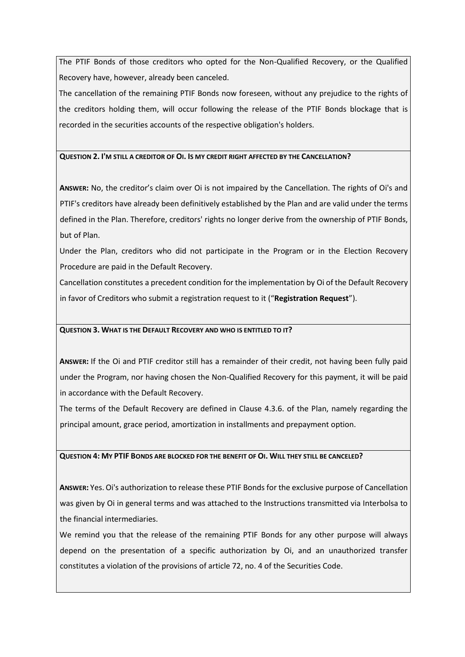The PTIF Bonds of those creditors who opted for the Non-Qualified Recovery, or the Qualified Recovery have, however, already been canceled.

The cancellation of the remaining PTIF Bonds now foreseen, without any prejudice to the rights of the creditors holding them, will occur following the release of the PTIF Bonds blockage that is recorded in the securities accounts of the respective obligation's holders.

# **QUESTION 2. I'M STILL A CREDITOR OF OI. IS MY CREDIT RIGHT AFFECTED BY THE CANCELLATION?**

**ANSWER:** No, the creditor's claim over Oi is not impaired by the Cancellation. The rights of Oi's and PTIF's creditors have already been definitively established by the Plan and are valid under the terms defined in the Plan. Therefore, creditors' rights no longer derive from the ownership of PTIF Bonds, but of Plan.

Under the Plan, creditors who did not participate in the Program or in the Election Recovery Procedure are paid in the Default Recovery.

Cancellation constitutes a precedent condition for the implementation by Oi of the Default Recovery in favor of Creditors who submit a registration request to it ("**Registration Request**").

# **QUESTION 3. WHAT IS THE DEFAULT RECOVERY AND WHO IS ENTITLED TO IT?**

**ANSWER:** If the Oi and PTIF creditor still has a remainder of their credit, not having been fully paid under the Program, nor having chosen the Non-Qualified Recovery for this payment, it will be paid in accordance with the Default Recovery.

The terms of the Default Recovery are defined in Clause 4.3.6. of the Plan, namely regarding the principal amount, grace period, amortization in installments and prepayment option.

## **QUESTION 4: MY PTIF BONDS ARE BLOCKED FOR THE BENEFIT OF OI. WILL THEY STILL BE CANCELED?**

**ANSWER:** Yes. Oi's authorization to release these PTIF Bonds for the exclusive purpose of Cancellation was given by Oi in general terms and was attached to the Instructions transmitted via Interbolsa to the financial intermediaries.

We remind you that the release of the remaining PTIF Bonds for any other purpose will always depend on the presentation of a specific authorization by Oi, and an unauthorized transfer constitutes a violation of the provisions of article 72, no. 4 of the Securities Code.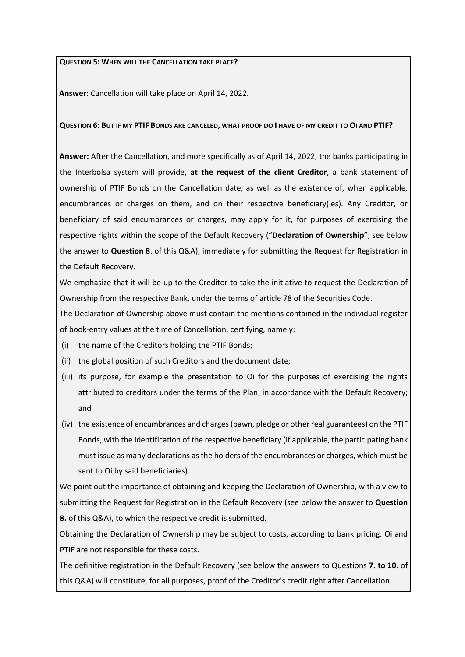#### **QUESTION 5: WHEN WILL THE CANCELLATION TAKE PLACE?**

**Answer:** Cancellation will take place on April 14, 2022.

## **QUESTION 6: BUT IF MY PTIF BONDS ARE CANCELED, WHAT PROOF DO I HAVE OF MY CREDIT TO OI AND PTIF?**

**Answer:** After the Cancellation, and more specifically as of April 14, 2022, the banks participating in the Interbolsa system will provide, **at the request of the client Creditor**, a bank statement of ownership of PTIF Bonds on the Cancellation date, as well as the existence of, when applicable, encumbrances or charges on them, and on their respective beneficiary(ies). Any Creditor, or beneficiary of said encumbrances or charges, may apply for it, for purposes of exercising the respective rights within the scope of the Default Recovery ("**Declaration of Ownership**"; see below the answer to **Question 8**. of this Q&A), immediately for submitting the Request for Registration in the Default Recovery.

We emphasize that it will be up to the Creditor to take the initiative to request the Declaration of Ownership from the respective Bank, under the terms of article 78 of the Securities Code.

The Declaration of Ownership above must contain the mentions contained in the individual register of book-entry values at the time of Cancellation, certifying, namely:

- (i) the name of the Creditors holding the PTIF Bonds;
- (ii) the global position of such Creditors and the document date;
- (iii) its purpose, for example the presentation to Oi for the purposes of exercising the rights attributed to creditors under the terms of the Plan, in accordance with the Default Recovery; and
- (iv) the existence of encumbrances and charges (pawn, pledge or other real guarantees) on the PTIF Bonds, with the identification of the respective beneficiary (if applicable, the participating bank must issue as many declarations as the holders of the encumbrances or charges, which must be sent to Oi by said beneficiaries).

We point out the importance of obtaining and keeping the Declaration of Ownership, with a view to submitting the Request for Registration in the Default Recovery (see below the answer to **Question 8.** of this Q&A), to which the respective credit is submitted.

Obtaining the Declaration of Ownership may be subject to costs, according to bank pricing. Oi and PTIF are not responsible for these costs.

The definitive registration in the Default Recovery (see below the answers to Questions **7. to 10**. of this Q&A) will constitute, for all purposes, proof of the Creditor's credit right after Cancellation.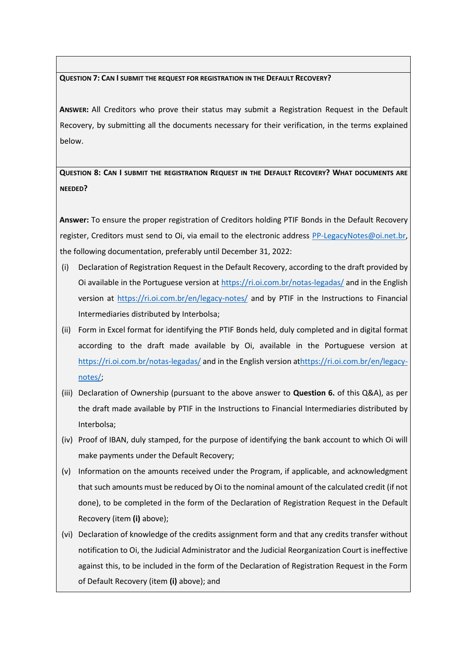# **QUESTION 7: CAN I SUBMIT THE REQUEST FOR REGISTRATION IN THE DEFAULT RECOVERY?**

**ANSWER:** All Creditors who prove their status may submit a Registration Request in the Default Recovery, by submitting all the documents necessary for their verification, in the terms explained below.

**QUESTION 8: CAN I SUBMIT THE REGISTRATION REQUEST IN THE DEFAULT RECOVERY? WHAT DOCUMENTS ARE NEEDED?**

**Answer:** To ensure the proper registration of Creditors holding PTIF Bonds in the Default Recovery register, Creditors must send to Oi, via email to the electronic address [PP-LegacyNotes@oi.net.br](mailto:PP-LegacyNotes@oi.net.br), the following documentation, preferably until December 31, 2022:

- (i) Declaration of Registration Request in the Default Recovery, according to the draft provided by Oi available in the Portuguese version at<https://ri.oi.com.br/notas-legadas/> and in the English version at <https://ri.oi.com.br/en/legacy-notes/> and by PTIF in the Instructions to Financial Intermediaries distributed by Interbolsa;
- (ii) Form in Excel format for identifying the PTIF Bonds held, duly completed and in digital format according to the draft made available by Oi, available in the Portuguese version at <https://ri.oi.com.br/notas-legadas/> and in the English version a[thttps://ri.oi.com.br/en/legacy](https://ri.oi.com.br/en/legacy-notes/)[notes/;](https://ri.oi.com.br/en/legacy-notes/)
- (iii) Declaration of Ownership (pursuant to the above answer to **Question 6.** of this Q&A), as per the draft made available by PTIF in the Instructions to Financial Intermediaries distributed by Interbolsa;
- (iv) Proof of IBAN, duly stamped, for the purpose of identifying the bank account to which Oi will make payments under the Default Recovery;
- (v) Information on the amounts received under the Program, if applicable, and acknowledgment that such amounts must be reduced by Oi to the nominal amount of the calculated credit (if not done), to be completed in the form of the Declaration of Registration Request in the Default Recovery (item **(i)** above);
- (vi) Declaration of knowledge of the credits assignment form and that any credits transfer without notification to Oi, the Judicial Administrator and the Judicial Reorganization Court is ineffective against this, to be included in the form of the Declaration of Registration Request in the Form of Default Recovery (item **(i)** above); and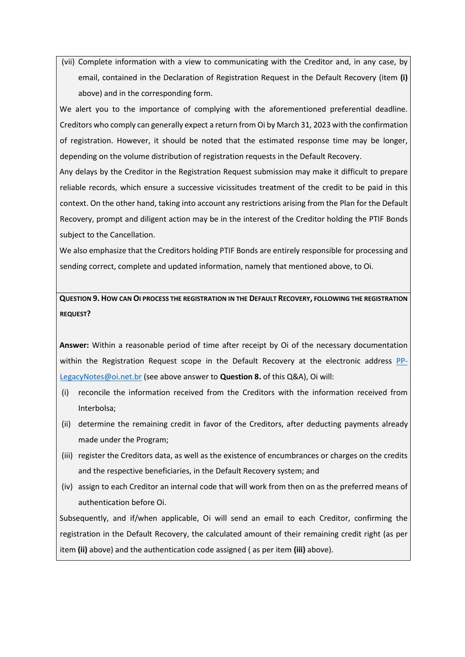(vii) Complete information with a view to communicating with the Creditor and, in any case, by email, contained in the Declaration of Registration Request in the Default Recovery (item **(i)** above) and in the corresponding form.

We alert you to the importance of complying with the aforementioned preferential deadline. Creditors who comply can generally expect a return from Oi by March 31, 2023 with the confirmation of registration. However, it should be noted that the estimated response time may be longer, depending on the volume distribution of registration requests in the Default Recovery.

Any delays by the Creditor in the Registration Request submission may make it difficult to prepare reliable records, which ensure a successive vicissitudes treatment of the credit to be paid in this context. On the other hand, taking into account any restrictions arising from the Plan for the Default Recovery, prompt and diligent action may be in the interest of the Creditor holding the PTIF Bonds subject to the Cancellation.

We also emphasize that the Creditors holding PTIF Bonds are entirely responsible for processing and sending correct, complete and updated information, namely that mentioned above, to Oi.

**QUESTION 9. HOW CAN OI PROCESS THE REGISTRATION IN THE DEFAULT RECOVERY, FOLLOWING THE REGISTRATION REQUEST?**

**Answer:** Within a reasonable period of time after receipt by Oi of the necessary documentation within the Registration Request scope in the Default Recovery at the electronic address [PP-](mailto:PP-LegacyNotes@oi.net.br)[LegacyNotes@oi.net.br](mailto:PP-LegacyNotes@oi.net.br) (see above answer to **Question 8.** of this Q&A), Oi will:

- (i) reconcile the information received from the Creditors with the information received from Interbolsa;
- (ii) determine the remaining credit in favor of the Creditors, after deducting payments already made under the Program;
- (iii) register the Creditors data, as well as the existence of encumbrances or charges on the credits and the respective beneficiaries, in the Default Recovery system; and
- (iv) assign to each Creditor an internal code that will work from then on as the preferred means of authentication before Oi.

Subsequently, and if/when applicable, Oi will send an email to each Creditor, confirming the registration in the Default Recovery, the calculated amount of their remaining credit right (as per item **(ii)** above) and the authentication code assigned ( as per item **(iii)** above).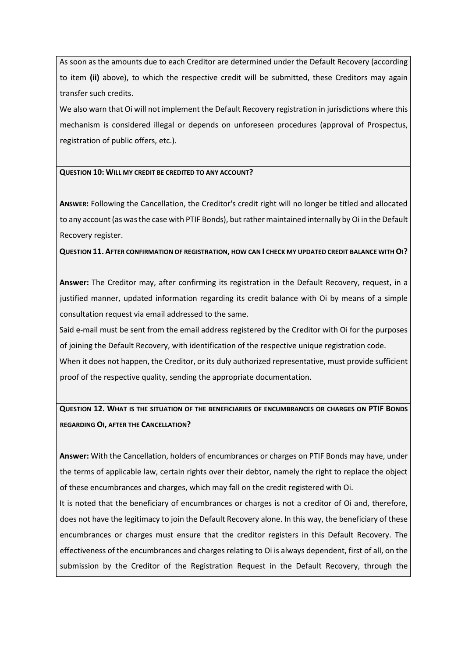As soon as the amounts due to each Creditor are determined under the Default Recovery (according to item **(ii)** above), to which the respective credit will be submitted, these Creditors may again transfer such credits.

We also warn that Oi will not implement the Default Recovery registration in jurisdictions where this mechanism is considered illegal or depends on unforeseen procedures (approval of Prospectus, registration of public offers, etc.).

## **QUESTION 10: WILL MY CREDIT BE CREDITED TO ANY ACCOUNT?**

**ANSWER:** Following the Cancellation, the Creditor's credit right will no longer be titled and allocated to any account (as was the case with PTIF Bonds), but rather maintained internally by Oi in the Default Recovery register.

#### **QUESTION 11. AFTER CONFIRMATION OF REGISTRATION, HOW CAN I CHECK MY UPDATED CREDIT BALANCE WITH OI?**

**Answer:** The Creditor may, after confirming its registration in the Default Recovery, request, in a justified manner, updated information regarding its credit balance with Oi by means of a simple consultation request via email addressed to the same.

Said e-mail must be sent from the email address registered by the Creditor with Oi for the purposes of joining the Default Recovery, with identification of the respective unique registration code. When it does not happen, the Creditor, or its duly authorized representative, must provide sufficient proof of the respective quality, sending the appropriate documentation.

**QUESTION 12. WHAT IS THE SITUATION OF THE BENEFICIARIES OF ENCUMBRANCES OR CHARGES ON PTIF BONDS REGARDING OI, AFTER THE CANCELLATION?**

**Answer:** With the Cancellation, holders of encumbrances or charges on PTIF Bonds may have, under the terms of applicable law, certain rights over their debtor, namely the right to replace the object of these encumbrances and charges, which may fall on the credit registered with Oi.

It is noted that the beneficiary of encumbrances or charges is not a creditor of Oi and, therefore, does not have the legitimacy to join the Default Recovery alone. In this way, the beneficiary of these encumbrances or charges must ensure that the creditor registers in this Default Recovery. The effectiveness of the encumbrances and charges relating to Oi is always dependent, first of all, on the submission by the Creditor of the Registration Request in the Default Recovery, through the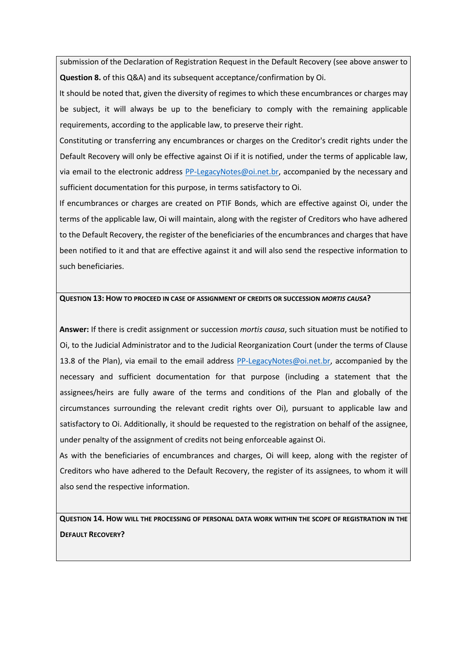submission of the Declaration of Registration Request in the Default Recovery (see above answer to **Question 8.** of this Q&A) and its subsequent acceptance/confirmation by Oi.

It should be noted that, given the diversity of regimes to which these encumbrances or charges may be subject, it will always be up to the beneficiary to comply with the remaining applicable requirements, according to the applicable law, to preserve their right.

Constituting or transferring any encumbrances or charges on the Creditor's credit rights under the Default Recovery will only be effective against Oi if it is notified, under the terms of applicable law, via email to the electronic address [PP-LegacyNotes@oi.net.br,](mailto:PP-LegacyNotes@oi.net.br) accompanied by the necessary and sufficient documentation for this purpose, in terms satisfactory to Oi.

If encumbrances or charges are created on PTIF Bonds, which are effective against Oi, under the terms of the applicable law, Oi will maintain, along with the register of Creditors who have adhered to the Default Recovery, the register of the beneficiaries of the encumbrances and charges that have been notified to it and that are effective against it and will also send the respective information to such beneficiaries.

## **QUESTION 13: HOW TO PROCEED IN CASE OF ASSIGNMENT OF CREDITS OR SUCCESSION** *MORTIS CAUSA***?**

**Answer:** If there is credit assignment or succession *mortis causa*, such situation must be notified to Oi, to the Judicial Administrator and to the Judicial Reorganization Court (under the terms of Clause 13.8 of the Plan), via email to the email address  $PP$ -LegacyNotes@oi.net.br, accompanied by the necessary and sufficient documentation for that purpose (including a statement that the assignees/heirs are fully aware of the terms and conditions of the Plan and globally of the circumstances surrounding the relevant credit rights over Oi), pursuant to applicable law and satisfactory to Oi. Additionally, it should be requested to the registration on behalf of the assignee, under penalty of the assignment of credits not being enforceable against Oi.

As with the beneficiaries of encumbrances and charges, Oi will keep, along with the register of Creditors who have adhered to the Default Recovery, the register of its assignees, to whom it will also send the respective information.

**QUESTION 14. HOW WILL THE PROCESSING OF PERSONAL DATA WORK WITHIN THE SCOPE OF REGISTRATION IN THE DEFAULT RECOVERY?**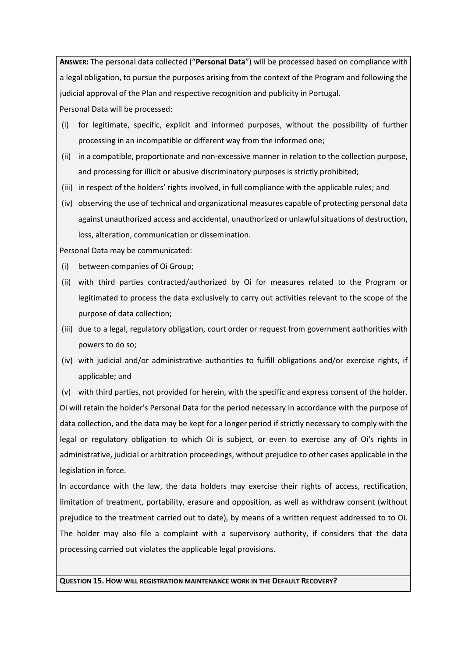**ANSWER:** The personal data collected ("**Personal Data**") will be processed based on compliance with a legal obligation, to pursue the purposes arising from the context of the Program and following the judicial approval of the Plan and respective recognition and publicity in Portugal.

Personal Data will be processed:

- (i) for legitimate, specific, explicit and informed purposes, without the possibility of further processing in an incompatible or different way from the informed one;
- (ii) in a compatible, proportionate and non-excessive manner in relation to the collection purpose, and processing for illicit or abusive discriminatory purposes is strictly prohibited;
- (iii) in respect of the holders' rights involved, in full compliance with the applicable rules; and
- (iv) observing the use of technical and organizational measures capable of protecting personal data against unauthorized access and accidental, unauthorized or unlawful situations of destruction, loss, alteration, communication or dissemination.

Personal Data may be communicated:

- (i) between companies of Oi Group;
- (ii) with third parties contracted/authorized by Oi for measures related to the Program or legitimated to process the data exclusively to carry out activities relevant to the scope of the purpose of data collection;
- (iii) due to a legal, regulatory obligation, court order or request from government authorities with powers to do so;
- (iv) with judicial and/or administrative authorities to fulfill obligations and/or exercise rights, if applicable; and

(v) with third parties, not provided for herein, with the specific and express consent of the holder. Oi will retain the holder's Personal Data for the period necessary in accordance with the purpose of data collection, and the data may be kept for a longer period if strictly necessary to comply with the legal or regulatory obligation to which Oi is subject, or even to exercise any of Oi's rights in administrative, judicial or arbitration proceedings, without prejudice to other cases applicable in the legislation in force.

In accordance with the law, the data holders may exercise their rights of access, rectification, limitation of treatment, portability, erasure and opposition, as well as withdraw consent (without prejudice to the treatment carried out to date), by means of a written request addressed to to Oi. The holder may also file a complaint with a supervisory authority, if considers that the data processing carried out violates the applicable legal provisions.

# **QUESTION 15. HOW WILL REGISTRATION MAINTENANCE WORK IN THE DEFAULT RECOVERY?**